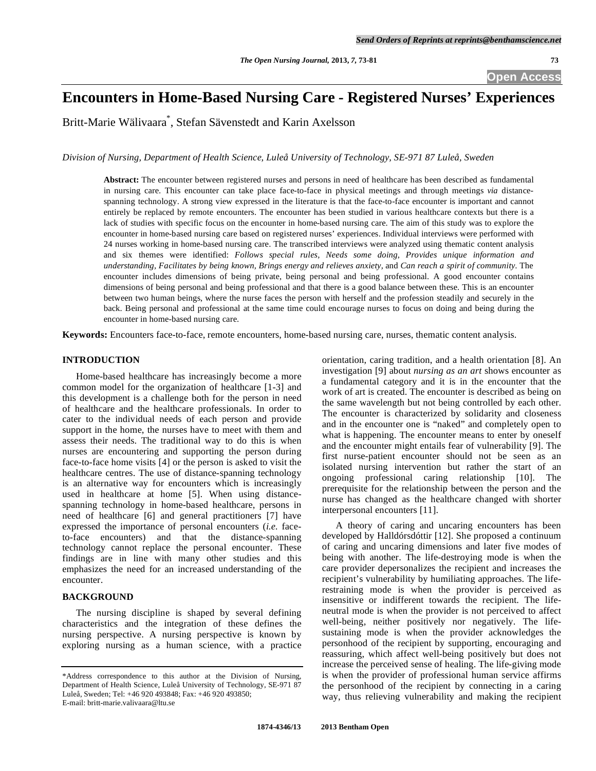# **Encounters in Home-Based Nursing Care - Registered Nurses' Experiences**

Britt-Marie Wälivaara\* , Stefan Sävenstedt and Karin Axelsson

*Division of Nursing, Department of Health Science, Luleå University of Technology, SE-971 87 Luleå, Sweden* 

**Abstract:** The encounter between registered nurses and persons in need of healthcare has been described as fundamental in nursing care. This encounter can take place face-to-face in physical meetings and through meetings *via* distancespanning technology. A strong view expressed in the literature is that the face-to-face encounter is important and cannot entirely be replaced by remote encounters. The encounter has been studied in various healthcare contexts but there is a lack of studies with specific focus on the encounter in home-based nursing care. The aim of this study was to explore the encounter in home-based nursing care based on registered nurses' experiences. Individual interviews were performed with 24 nurses working in home-based nursing care. The transcribed interviews were analyzed using thematic content analysis and six themes were identified: *Follows special rules, Needs some doing, Provides unique information and understanding, Facilitates by being known, Brings energy and relieves anxiety,* and *Can reach a spirit of community.* The encounter includes dimensions of being private, being personal and being professional. A good encounter contains dimensions of being personal and being professional and that there is a good balance between these. This is an encounter between two human beings, where the nurse faces the person with herself and the profession steadily and securely in the back. Being personal and professional at the same time could encourage nurses to focus on doing and being during the encounter in home-based nursing care.

**Keywords:** Encounters face-to-face, remote encounters, home-based nursing care, nurses, thematic content analysis.

### **INTRODUCTION**

 Home-based healthcare has increasingly become a more common model for the organization of healthcare [1-3] and this development is a challenge both for the person in need of healthcare and the healthcare professionals. In order to cater to the individual needs of each person and provide support in the home, the nurses have to meet with them and assess their needs. The traditional way to do this is when nurses are encountering and supporting the person during face-to-face home visits [4] or the person is asked to visit the healthcare centres. The use of distance-spanning technology is an alternative way for encounters which is increasingly used in healthcare at home [5]. When using distancespanning technology in home-based healthcare, persons in need of healthcare [6] and general practitioners [7] have expressed the importance of personal encounters (*i.e.* faceto-face encounters) and that the distance-spanning technology cannot replace the personal encounter. These findings are in line with many other studies and this emphasizes the need for an increased understanding of the encounter.

# **BACKGROUND**

 The nursing discipline is shaped by several defining characteristics and the integration of these defines the nursing perspective. A nursing perspective is known by exploring nursing as a human science, with a practice

orientation, caring tradition, and a health orientation [8]. An investigation [9] about *nursing as an art* shows encounter as a fundamental category and it is in the encounter that the work of art is created. The encounter is described as being on the same wavelength but not being controlled by each other. The encounter is characterized by solidarity and closeness and in the encounter one is "naked" and completely open to what is happening. The encounter means to enter by oneself and the encounter might entails fear of vulnerability [9]. The first nurse-patient encounter should not be seen as an isolated nursing intervention but rather the start of an ongoing professional caring relationship [10]. The prerequisite for the relationship between the person and the nurse has changed as the healthcare changed with shorter interpersonal encounters [11].

 A theory of caring and uncaring encounters has been developed by Halldórsdóttir [12]. She proposed a continuum of caring and uncaring dimensions and later five modes of being with another. The life-destroying mode is when the care provider depersonalizes the recipient and increases the recipient's vulnerability by humiliating approaches. The liferestraining mode is when the provider is perceived as insensitive or indifferent towards the recipient. The lifeneutral mode is when the provider is not perceived to affect well-being, neither positively nor negatively. The lifesustaining mode is when the provider acknowledges the personhood of the recipient by supporting, encouraging and reassuring, which affect well-being positively but does not increase the perceived sense of healing. The life-giving mode is when the provider of professional human service affirms the personhood of the recipient by connecting in a caring way, thus relieving vulnerability and making the recipient

<sup>\*</sup>Address correspondence to this author at the Division of Nursing, Department of Health Science, Luleå University of Technology, SE-971 87 Luleå, Sweden; Tel: +46 920 493848; Fax: +46 920 493850; E-mail: britt-marie.valivaara@ltu.se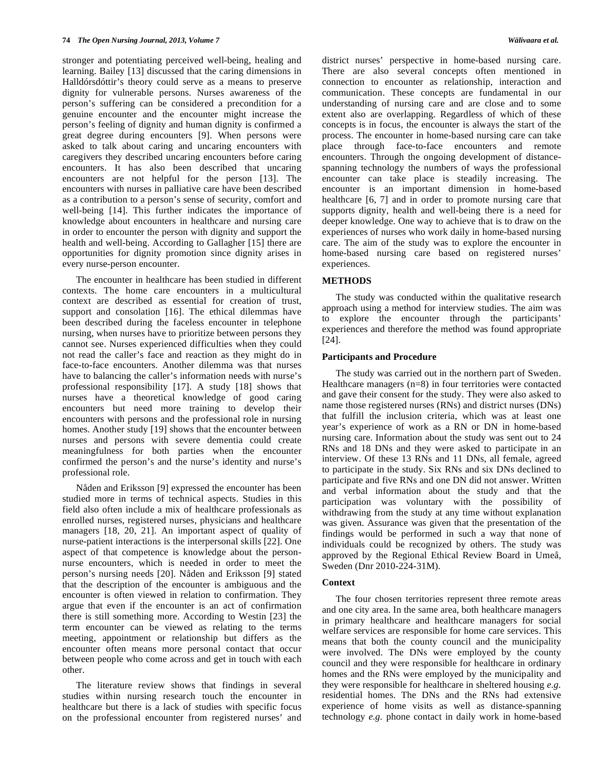stronger and potentiating perceived well-being, healing and learning. Bailey [13] discussed that the caring dimensions in Halldórsdóttir's theory could serve as a means to preserve dignity for vulnerable persons. Nurses awareness of the person's suffering can be considered a precondition for a genuine encounter and the encounter might increase the person's feeling of dignity and human dignity is confirmed a great degree during encounters [9]. When persons were asked to talk about caring and uncaring encounters with caregivers they described uncaring encounters before caring encounters. It has also been described that uncaring encounters are not helpful for the person [13]. The encounters with nurses in palliative care have been described as a contribution to a person's sense of security, comfort and well-being [14]. This further indicates the importance of knowledge about encounters in healthcare and nursing care in order to encounter the person with dignity and support the health and well-being. According to Gallagher [15] there are opportunities for dignity promotion since dignity arises in every nurse-person encounter.

 The encounter in healthcare has been studied in different contexts. The home care encounters in a multicultural context are described as essential for creation of trust, support and consolation [16]. The ethical dilemmas have been described during the faceless encounter in telephone nursing, when nurses have to prioritize between persons they cannot see. Nurses experienced difficulties when they could not read the caller's face and reaction as they might do in face-to-face encounters. Another dilemma was that nurses have to balancing the caller's information needs with nurse's professional responsibility [17]. A study [18] shows that nurses have a theoretical knowledge of good caring encounters but need more training to develop their encounters with persons and the professional role in nursing homes. Another study [19] shows that the encounter between nurses and persons with severe dementia could create meaningfulness for both parties when the encounter confirmed the person's and the nurse's identity and nurse's professional role.

 Nåden and Eriksson [9] expressed the encounter has been studied more in terms of technical aspects. Studies in this field also often include a mix of healthcare professionals as enrolled nurses, registered nurses, physicians and healthcare managers [18, 20, 21]. An important aspect of quality of nurse-patient interactions is the interpersonal skills [22]. One aspect of that competence is knowledge about the personnurse encounters, which is needed in order to meet the person's nursing needs [20]. Nåden and Eriksson [9] stated that the description of the encounter is ambiguous and the encounter is often viewed in relation to confirmation. They argue that even if the encounter is an act of confirmation there is still something more. According to Westin [23] the term encounter can be viewed as relating to the terms meeting, appointment or relationship but differs as the encounter often means more personal contact that occur between people who come across and get in touch with each other.

 The literature review shows that findings in several studies within nursing research touch the encounter in healthcare but there is a lack of studies with specific focus on the professional encounter from registered nurses' and

district nurses' perspective in home-based nursing care. There are also several concepts often mentioned in connection to encounter as relationship, interaction and communication. These concepts are fundamental in our understanding of nursing care and are close and to some extent also are overlapping. Regardless of which of these concepts is in focus, the encounter is always the start of the process. The encounter in home-based nursing care can take place through face-to-face encounters and remote encounters. Through the ongoing development of distancespanning technology the numbers of ways the professional encounter can take place is steadily increasing. The encounter is an important dimension in home-based healthcare [6, 7] and in order to promote nursing care that supports dignity, health and well-being there is a need for deeper knowledge. One way to achieve that is to draw on the experiences of nurses who work daily in home-based nursing care. The aim of the study was to explore the encounter in home-based nursing care based on registered nurses' experiences.

#### **METHODS**

 The study was conducted within the qualitative research approach using a method for interview studies. The aim was to explore the encounter through the participants' experiences and therefore the method was found appropriate [24].

#### **Participants and Procedure**

 The study was carried out in the northern part of Sweden. Healthcare managers (n=8) in four territories were contacted and gave their consent for the study. They were also asked to name those registered nurses (RNs) and district nurses (DNs) that fulfill the inclusion criteria, which was at least one year's experience of work as a RN or DN in home-based nursing care. Information about the study was sent out to 24 RNs and 18 DNs and they were asked to participate in an interview. Of these 13 RNs and 11 DNs, all female, agreed to participate in the study. Six RNs and six DNs declined to participate and five RNs and one DN did not answer. Written and verbal information about the study and that the participation was voluntary with the possibility of withdrawing from the study at any time without explanation was given. Assurance was given that the presentation of the findings would be performed in such a way that none of individuals could be recognized by others. The study was approved by the Regional Ethical Review Board in Umeå, Sweden (Dnr 2010-224-31M).

#### **Context**

 The four chosen territories represent three remote areas and one city area. In the same area, both healthcare managers in primary healthcare and healthcare managers for social welfare services are responsible for home care services. This means that both the county council and the municipality were involved. The DNs were employed by the county council and they were responsible for healthcare in ordinary homes and the RNs were employed by the municipality and they were responsible for healthcare in sheltered housing *e.g.*  residential homes. The DNs and the RNs had extensive experience of home visits as well as distance-spanning technology *e.g.* phone contact in daily work in home-based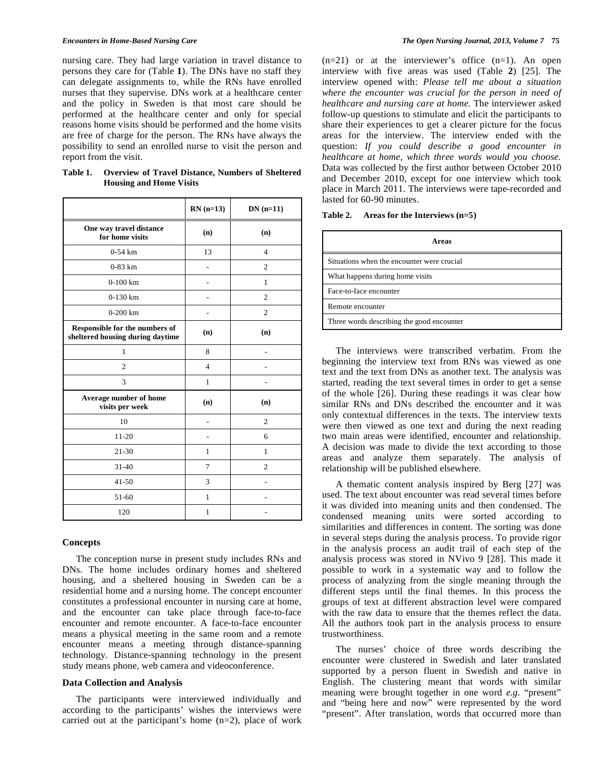nursing care. They had large variation in travel distance to persons they care for (Table **1**). The DNs have no staff they can delegate assignments to, while the RNs have enrolled nurses that they supervise. DNs work at a healthcare center and the policy in Sweden is that most care should be performed at the healthcare center and only for special reasons home visits should be performed and the home visits are free of charge for the person. The RNs have always the possibility to send an enrolled nurse to visit the person and report from the visit.

|                                                                           | $RN(n=13)$     | $DN(n=11)$     |
|---------------------------------------------------------------------------|----------------|----------------|
| One way travel distance<br>for home visits                                | (n)            | (n)            |
| $0-54$ km                                                                 | 13             | $\overline{4}$ |
| $0-83$ km                                                                 |                | $\overline{2}$ |
| $0-100$ km                                                                |                | 1              |
| $0-130$ km                                                                |                | $\overline{2}$ |
| $0-200$ km                                                                |                | $\overline{2}$ |
| <b>Responsible for the numbers of</b><br>sheltered housing during daytime | (n)            | (n)            |
| 1                                                                         | 8              |                |
| $\overline{c}$                                                            | $\overline{4}$ |                |
| 3                                                                         | 1              |                |
| Average number of home<br>visits per week                                 | (n)            | (n)            |
| 10                                                                        |                | $\overline{2}$ |
| $11 - 20$                                                                 |                | 6              |
| $21 - 30$                                                                 | 1              | 1              |
| $31 - 40$                                                                 | 7              | $\overline{2}$ |
| $41 - 50$                                                                 | 3              |                |
| 51-60                                                                     | 1              |                |
| 120                                                                       | $\mathbf{1}$   |                |

**Table 1. Overview of Travel Distance, Numbers of Sheltered Housing and Home Visits** 

#### **Concepts**

 The conception nurse in present study includes RNs and DNs. The home includes ordinary homes and sheltered housing, and a sheltered housing in Sweden can be a residential home and a nursing home. The concept encounter constitutes a professional encounter in nursing care at home, and the encounter can take place through face-to-face encounter and remote encounter. A face-to-face encounter means a physical meeting in the same room and a remote encounter means a meeting through distance-spanning technology. Distance-spanning technology in the present study means phone, web camera and videoconference.

### **Data Collection and Analysis**

 The participants were interviewed individually and according to the participants' wishes the interviews were carried out at the participant's home (n=2), place of work

 $(n=21)$  or at the interviewer's office  $(n=1)$ . An open interview with five areas was used (Table **2**) [25]. The interview opened with: *Please tell me about a situation where the encounter was crucial for the person in need of healthcare and nursing care at home.* The interviewer asked follow-up questions to stimulate and elicit the participants to share their experiences to get a clearer picture for the focus areas for the interview. The interview ended with the question: *If you could describe a good encounter in healthcare at home, which three words would you choose.*  Data was collected by the first author between October 2010 and December 2010, except for one interview which took place in March 2011. The interviews were tape-recorded and lasted for 60-90 minutes.

| Table 2. |  | Areas for the Interviews $(n=5)$ |  |
|----------|--|----------------------------------|--|
|----------|--|----------------------------------|--|

| Areas                                      |  |
|--------------------------------------------|--|
| Situations when the encounter were crucial |  |
| What happens during home visits            |  |
| Face-to-face encounter                     |  |
| Remote encounter                           |  |
| Three words describing the good encounter  |  |

 The interviews were transcribed verbatim. From the beginning the interview text from RNs was viewed as one text and the text from DNs as another text. The analysis was started, reading the text several times in order to get a sense of the whole [26]. During these readings it was clear how similar RNs and DNs described the encounter and it was only contextual differences in the texts. The interview texts were then viewed as one text and during the next reading two main areas were identified, encounter and relationship. A decision was made to divide the text according to those areas and analyze them separately. The analysis of relationship will be published elsewhere.

 A thematic content analysis inspired by Berg [27] was used. The text about encounter was read several times before it was divided into meaning units and then condensed. The condensed meaning units were sorted according to similarities and differences in content. The sorting was done in several steps during the analysis process. To provide rigor in the analysis process an audit trail of each step of the analysis process was stored in NVivo 9 [28]. This made it possible to work in a systematic way and to follow the process of analyzing from the single meaning through the different steps until the final themes. In this process the groups of text at different abstraction level were compared with the raw data to ensure that the themes reflect the data. All the authors took part in the analysis process to ensure trustworthiness.

 The nurses' choice of three words describing the encounter were clustered in Swedish and later translated supported by a person fluent in Swedish and native in English. The clustering meant that words with similar meaning were brought together in one word *e.g.* "present" and "being here and now" were represented by the word "present". After translation, words that occurred more than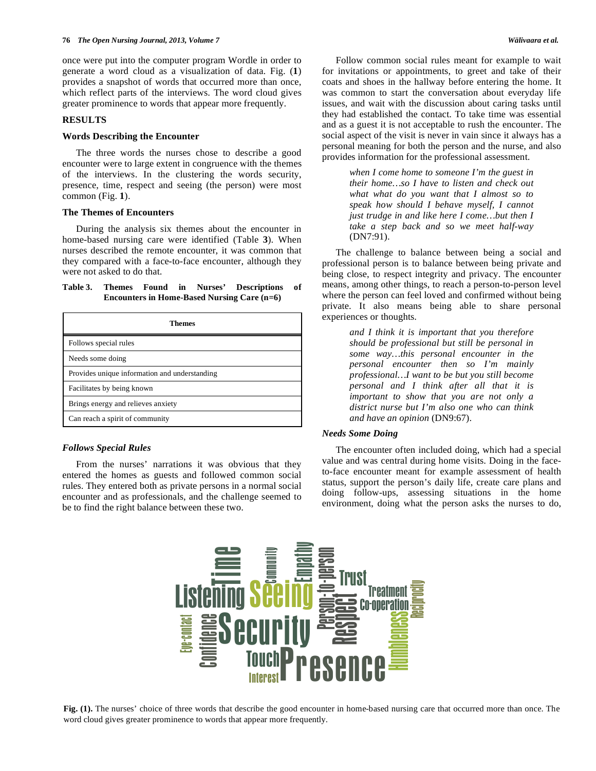once were put into the computer program Wordle in order to generate a word cloud as a visualization of data. Fig. (**1**) provides a snapshot of words that occurred more than once, which reflect parts of the interviews. The word cloud gives greater prominence to words that appear more frequently.

#### **RESULTS**

### **Words Describing the Encounter**

 The three words the nurses chose to describe a good encounter were to large extent in congruence with the themes of the interviews. In the clustering the words security, presence, time, respect and seeing (the person) were most common (Fig. **1**).

#### **The Themes of Encounters**

 During the analysis six themes about the encounter in home-based nursing care were identified (Table **3**). When nurses described the remote encounter, it was common that they compared with a face-to-face encounter, although they were not asked to do that.

#### **Table 3. Themes Found in Nurses' Descriptions of Encounters in Home-Based Nursing Care (n=6)**

| Themes                                        |  |  |
|-----------------------------------------------|--|--|
| Follows special rules                         |  |  |
| Needs some doing                              |  |  |
| Provides unique information and understanding |  |  |
| Facilitates by being known                    |  |  |
| Brings energy and relieves anxiety            |  |  |
| Can reach a spirit of community               |  |  |

#### *Follows Special Rules*

 From the nurses' narrations it was obvious that they entered the homes as guests and followed common social rules. They entered both as private persons in a normal social encounter and as professionals, and the challenge seemed to be to find the right balance between these two.

*when I come home to someone I'm the guest in their home…so I have to listen and check out what what do you want that I almost so to speak how should I behave myself, I cannot just trudge in and like here I come…but then I take a step back and so we meet half-way* (DN7:91).

provides information for the professional assessment.

 The challenge to balance between being a social and professional person is to balance between being private and being close, to respect integrity and privacy. The encounter means, among other things, to reach a person-to-person level where the person can feel loved and confirmed without being private. It also means being able to share personal experiences or thoughts.

> *and I think it is important that you therefore should be professional but still be personal in some way…this personal encounter in the personal encounter then so I'm mainly professional…I want to be but you still become personal and I think after all that it is important to show that you are not only a district nurse but I'm also one who can think and have an opinion* (DN9:67).

#### *Needs Some Doing*

 The encounter often included doing, which had a special value and was central during home visits. Doing in the faceto-face encounter meant for example assessment of health status, support the person's daily life, create care plans and doing follow-ups, assessing situations in the home environment, doing what the person asks the nurses to do,



**Fig. (1).** The nurses' choice of three words that describe the good encounter in home-based nursing care that occurred more than once. The word cloud gives greater prominence to words that appear more frequently.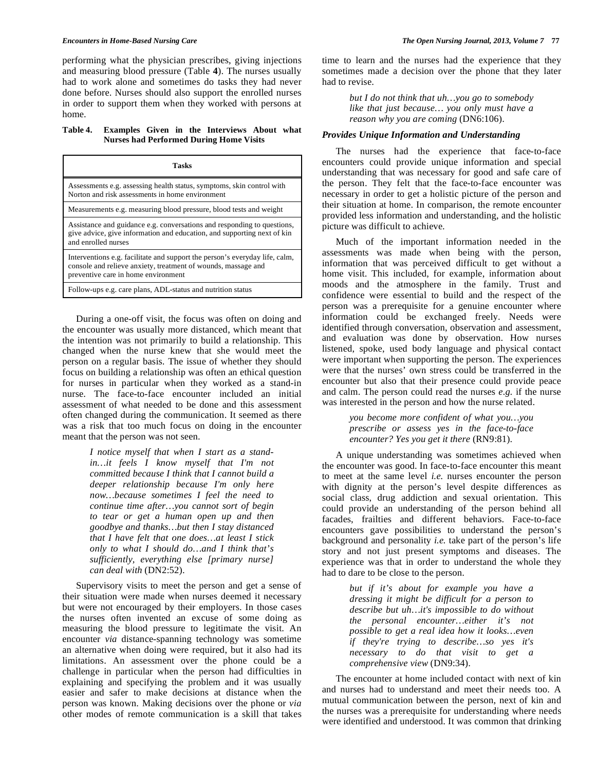performing what the physician prescribes, giving injections and measuring blood pressure (Table **4**). The nurses usually had to work alone and sometimes do tasks they had never done before. Nurses should also support the enrolled nurses in order to support them when they worked with persons at home.

#### **Table 4. Examples Given in the Interviews About what Nurses had Performed During Home Visits**

| Tasks                                                                                                                                                                               |
|-------------------------------------------------------------------------------------------------------------------------------------------------------------------------------------|
| Assessments e.g. assessing health status, symptoms, skin control with<br>Norton and risk assessments in home environment                                                            |
| Measurements e.g. measuring blood pressure, blood tests and weight                                                                                                                  |
| Assistance and guidance e.g. conversations and responding to questions,<br>give advice, give information and education, and supporting next of kin<br>and enrolled nurses           |
| Interventions e.g. facilitate and support the person's everyday life, calm,<br>console and relieve anxiety, treatment of wounds, massage and<br>preventive care in home environment |
| Follow-ups e.g. care plans, ADL-status and nutrition status                                                                                                                         |

 During a one-off visit, the focus was often on doing and the encounter was usually more distanced, which meant that the intention was not primarily to build a relationship. This changed when the nurse knew that she would meet the person on a regular basis. The issue of whether they should focus on building a relationship was often an ethical question for nurses in particular when they worked as a stand-in nurse. The face-to-face encounter included an initial assessment of what needed to be done and this assessment often changed during the communication. It seemed as there was a risk that too much focus on doing in the encounter meant that the person was not seen.

> *I notice myself that when I start as a standin…it feels I know myself that I'm not committed because I think that I cannot build a deeper relationship because I'm only here now…because sometimes I feel the need to continue time after…you cannot sort of begin to tear or get a human open up and then goodbye and thanks…but then I stay distanced that I have felt that one does…at least I stick only to what I should do…and I think that's sufficiently, everything else [primary nurse] can deal with* (DN2:52).

 Supervisory visits to meet the person and get a sense of their situation were made when nurses deemed it necessary but were not encouraged by their employers. In those cases the nurses often invented an excuse of some doing as measuring the blood pressure to legitimate the visit. An encounter *via* distance-spanning technology was sometime an alternative when doing were required, but it also had its limitations. An assessment over the phone could be a challenge in particular when the person had difficulties in explaining and specifying the problem and it was usually easier and safer to make decisions at distance when the person was known. Making decisions over the phone or *via*  other modes of remote communication is a skill that takes

time to learn and the nurses had the experience that they sometimes made a decision over the phone that they later had to revise.

> *but I do not think that uh…you go to somebody like that just because… you only must have a reason why you are coming* (DN6:106).

# *Provides Unique Information and Understanding*

 The nurses had the experience that face-to-face encounters could provide unique information and special understanding that was necessary for good and safe care of the person. They felt that the face-to-face encounter was necessary in order to get a holistic picture of the person and their situation at home. In comparison, the remote encounter provided less information and understanding, and the holistic picture was difficult to achieve.

 Much of the important information needed in the assessments was made when being with the person, information that was perceived difficult to get without a home visit. This included, for example, information about moods and the atmosphere in the family. Trust and confidence were essential to build and the respect of the person was a prerequisite for a genuine encounter where information could be exchanged freely. Needs were identified through conversation, observation and assessment, and evaluation was done by observation. How nurses listened, spoke, used body language and physical contact were important when supporting the person. The experiences were that the nurses' own stress could be transferred in the encounter but also that their presence could provide peace and calm. The person could read the nurses *e.g.* if the nurse was interested in the person and how the nurse related.

> *you become more confident of what you…you prescribe or assess yes in the face-to-face encounter? Yes you get it there* (RN9:81).

 A unique understanding was sometimes achieved when the encounter was good. In face-to-face encounter this meant to meet at the same level *i.e.* nurses encounter the person with dignity at the person's level despite differences as social class, drug addiction and sexual orientation. This could provide an understanding of the person behind all facades, frailties and different behaviors. Face-to-face encounters gave possibilities to understand the person's background and personality *i.e.* take part of the person's life story and not just present symptoms and diseases. The experience was that in order to understand the whole they had to dare to be close to the person.

> *but if it's about for example you have a dressing it might be difficult for a person to describe but uh…it's impossible to do without the personal encounter…either it's not possible to get a real idea how it looks…even if they're trying to describe…so yes it's necessary to do that visit to get a comprehensive view* (DN9:34).

 The encounter at home included contact with next of kin and nurses had to understand and meet their needs too. A mutual communication between the person, next of kin and the nurses was a prerequisite for understanding where needs were identified and understood. It was common that drinking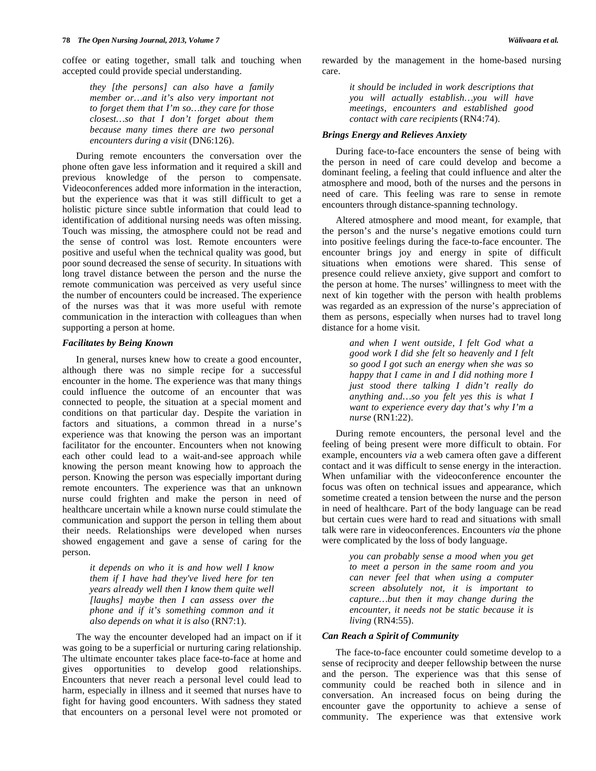coffee or eating together, small talk and touching when accepted could provide special understanding.

> *they [the persons] can also have a family member or…and it's also very important not to forget them that I'm so…they care for those closest…so that I don't forget about them because many times there are two personal encounters during a visit* (DN6:126).

 During remote encounters the conversation over the phone often gave less information and it required a skill and previous knowledge of the person to compensate. Videoconferences added more information in the interaction, but the experience was that it was still difficult to get a holistic picture since subtle information that could lead to identification of additional nursing needs was often missing. Touch was missing, the atmosphere could not be read and the sense of control was lost. Remote encounters were positive and useful when the technical quality was good, but poor sound decreased the sense of security. In situations with long travel distance between the person and the nurse the remote communication was perceived as very useful since the number of encounters could be increased. The experience of the nurses was that it was more useful with remote communication in the interaction with colleagues than when supporting a person at home.

#### *Facilitates by Being Known*

 In general, nurses knew how to create a good encounter, although there was no simple recipe for a successful encounter in the home. The experience was that many things could influence the outcome of an encounter that was connected to people, the situation at a special moment and conditions on that particular day. Despite the variation in factors and situations, a common thread in a nurse's experience was that knowing the person was an important facilitator for the encounter. Encounters when not knowing each other could lead to a wait-and-see approach while knowing the person meant knowing how to approach the person. Knowing the person was especially important during remote encounters. The experience was that an unknown nurse could frighten and make the person in need of healthcare uncertain while a known nurse could stimulate the communication and support the person in telling them about their needs. Relationships were developed when nurses showed engagement and gave a sense of caring for the person.

> *it depends on who it is and how well I know them if I have had they've lived here for ten years already well then I know them quite well [laughs] maybe then I can assess over the phone and if it's something common and it also depends on what it is also* (RN7:1).

 The way the encounter developed had an impact on if it was going to be a superficial or nurturing caring relationship. The ultimate encounter takes place face-to-face at home and gives opportunities to develop good relationships. Encounters that never reach a personal level could lead to harm, especially in illness and it seemed that nurses have to fight for having good encounters. With sadness they stated that encounters on a personal level were not promoted or

rewarded by the management in the home-based nursing care.

> *it should be included in work descriptions that you will actually establish…you will have meetings, encounters and established good contact with care recipients* (RN4:74).

### *Brings Energy and Relieves Anxiety*

 During face-to-face encounters the sense of being with the person in need of care could develop and become a dominant feeling, a feeling that could influence and alter the atmosphere and mood, both of the nurses and the persons in need of care. This feeling was rare to sense in remote encounters through distance-spanning technology.

 Altered atmosphere and mood meant, for example, that the person's and the nurse's negative emotions could turn into positive feelings during the face-to-face encounter. The encounter brings joy and energy in spite of difficult situations when emotions were shared. This sense of presence could relieve anxiety, give support and comfort to the person at home. The nurses' willingness to meet with the next of kin together with the person with health problems was regarded as an expression of the nurse's appreciation of them as persons, especially when nurses had to travel long distance for a home visit.

> *and when I went outside, I felt God what a good work I did she felt so heavenly and I felt so good I got such an energy when she was so happy that I came in and I did nothing more I just stood there talking I didn't really do anything and…so you felt yes this is what I want to experience every day that's why I'm a nurse* (RN1:22).

 During remote encounters, the personal level and the feeling of being present were more difficult to obtain. For example, encounters *via* a web camera often gave a different contact and it was difficult to sense energy in the interaction. When unfamiliar with the videoconference encounter the focus was often on technical issues and appearance, which sometime created a tension between the nurse and the person in need of healthcare. Part of the body language can be read but certain cues were hard to read and situations with small talk were rare in videoconferences. Encounters *via* the phone were complicated by the loss of body language.

> *you can probably sense a mood when you get to meet a person in the same room and you can never feel that when using a computer screen absolutely not, it is important to capture…but then it may change during the encounter, it needs not be static because it is living* (RN4:55).

### *Can Reach a Spirit of Community*

 The face-to-face encounter could sometime develop to a sense of reciprocity and deeper fellowship between the nurse and the person. The experience was that this sense of community could be reached both in silence and in conversation. An increased focus on being during the encounter gave the opportunity to achieve a sense of community. The experience was that extensive work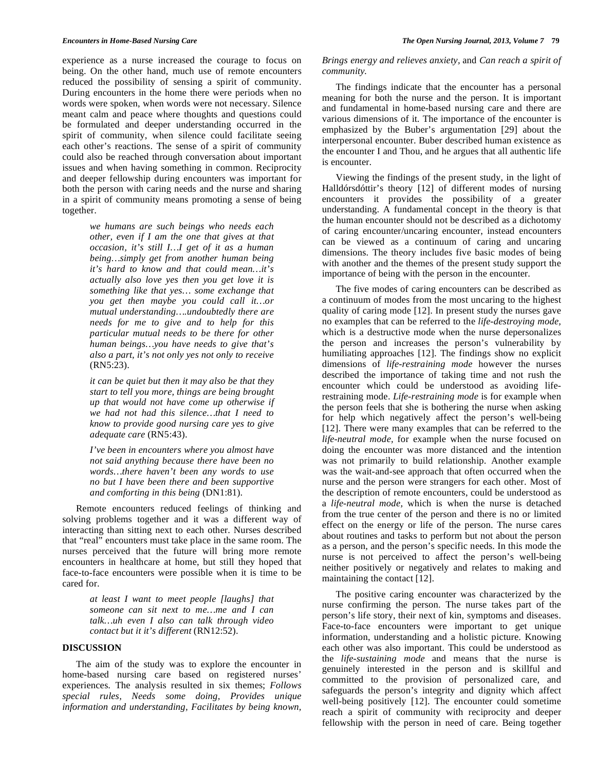experience as a nurse increased the courage to focus on being. On the other hand, much use of remote encounters reduced the possibility of sensing a spirit of community. During encounters in the home there were periods when no words were spoken, when words were not necessary. Silence meant calm and peace where thoughts and questions could be formulated and deeper understanding occurred in the spirit of community, when silence could facilitate seeing each other's reactions. The sense of a spirit of community could also be reached through conversation about important issues and when having something in common. Reciprocity and deeper fellowship during encounters was important for both the person with caring needs and the nurse and sharing in a spirit of community means promoting a sense of being together.

> *we humans are such beings who needs each other, even if I am the one that gives at that occasion, it's still I…I get of it as a human being…simply get from another human being it's hard to know and that could mean…it's actually also love yes then you get love it is something like that yes… some exchange that you get then maybe you could call it…or mutual understanding….undoubtedly there are needs for me to give and to help for this particular mutual needs to be there for other human beings…you have needs to give that's also a part, it's not only yes not only to receive* (RN5:23).

> *it can be quiet but then it may also be that they start to tell you more, things are being brought up that would not have come up otherwise if we had not had this silence…that I need to know to provide good nursing care yes to give adequate care* (RN5:43).

> *I've been in encounters where you almost have not said anything because there have been no words…there haven't been any words to use no but I have been there and been supportive and comforting in this being* (DN1:81).

 Remote encounters reduced feelings of thinking and solving problems together and it was a different way of interacting than sitting next to each other. Nurses described that "real" encounters must take place in the same room. The nurses perceived that the future will bring more remote encounters in healthcare at home, but still they hoped that face-to-face encounters were possible when it is time to be cared for.

> *at least I want to meet people [laughs] that someone can sit next to me…me and I can talk…uh even I also can talk through video contact but it it's different* (RN12:52).

# **DISCUSSION**

 The aim of the study was to explore the encounter in home-based nursing care based on registered nurses' experiences. The analysis resulted in six themes; *Follows special rules, Needs some doing, Provides unique information and understanding, Facilitates by being known,* 

## *Brings energy and relieves anxiety,* and *Can reach a spirit of community.*

 The findings indicate that the encounter has a personal meaning for both the nurse and the person. It is important and fundamental in home-based nursing care and there are various dimensions of it. The importance of the encounter is emphasized by the Buber's argumentation [29] about the interpersonal encounter. Buber described human existence as the encounter I and Thou, and he argues that all authentic life is encounter.

 Viewing the findings of the present study, in the light of Halldórsdóttir's theory [12] of different modes of nursing encounters it provides the possibility of a greater understanding. A fundamental concept in the theory is that the human encounter should not be described as a dichotomy of caring encounter/uncaring encounter, instead encounters can be viewed as a continuum of caring and uncaring dimensions. The theory includes five basic modes of being with another and the themes of the present study support the importance of being with the person in the encounter.

 The five modes of caring encounters can be described as a continuum of modes from the most uncaring to the highest quality of caring mode [12]. In present study the nurses gave no examples that can be referred to the *life-destroying mode,* which is a destructive mode when the nurse depersonalizes the person and increases the person's vulnerability by humiliating approaches [12]. The findings show no explicit dimensions of *life-restraining mode* however the nurses described the importance of taking time and not rush the encounter which could be understood as avoiding liferestraining mode. *Life-restraining mode* is for example when the person feels that she is bothering the nurse when asking for help which negatively affect the person's well-being [12]. There were many examples that can be referred to the *life-neutral mode,* for example when the nurse focused on doing the encounter was more distanced and the intention was not primarily to build relationship. Another example was the wait-and-see approach that often occurred when the nurse and the person were strangers for each other. Most of the description of remote encounters, could be understood as a *life-neutral mode,* which is when the nurse is detached from the true center of the person and there is no or limited effect on the energy or life of the person. The nurse cares about routines and tasks to perform but not about the person as a person, and the person's specific needs. In this mode the nurse is not perceived to affect the person's well-being neither positively or negatively and relates to making and maintaining the contact [12].

 The positive caring encounter was characterized by the nurse confirming the person. The nurse takes part of the person's life story, their next of kin, symptoms and diseases. Face-to-face encounters were important to get unique information, understanding and a holistic picture. Knowing each other was also important. This could be understood as the *life-sustaining mode* and means that the nurse is genuinely interested in the person and is skillful and committed to the provision of personalized care, and safeguards the person's integrity and dignity which affect well-being positively [12]. The encounter could sometime reach a spirit of community with reciprocity and deeper fellowship with the person in need of care. Being together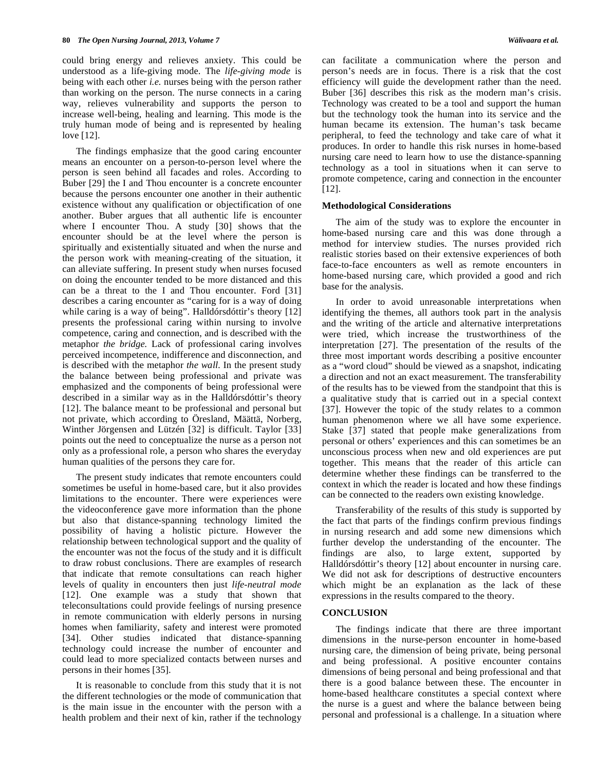could bring energy and relieves anxiety. This could be understood as a life-giving mode. The *life-giving mode* is being with each other *i.e.* nurses being with the person rather than working on the person. The nurse connects in a caring way, relieves vulnerability and supports the person to increase well-being, healing and learning. This mode is the truly human mode of being and is represented by healing love [12].

 The findings emphasize that the good caring encounter means an encounter on a person-to-person level where the person is seen behind all facades and roles. According to Buber [29] the I and Thou encounter is a concrete encounter because the persons encounter one another in their authentic existence without any qualification or objectification of one another. Buber argues that all authentic life is encounter where I encounter Thou. A study [30] shows that the encounter should be at the level where the person is spiritually and existentially situated and when the nurse and the person work with meaning-creating of the situation, it can alleviate suffering. In present study when nurses focused on doing the encounter tended to be more distanced and this can be a threat to the I and Thou encounter. Ford [31] describes a caring encounter as "caring for is a way of doing while caring is a way of being". Halldórsdóttir's theory [12] presents the professional caring within nursing to involve competence, caring and connection, and is described with the metaphor *the bridge.* Lack of professional caring involves perceived incompetence, indifference and disconnection, and is described with the metaphor *the wall.* In the present study the balance between being professional and private was emphasized and the components of being professional were described in a similar way as in the Halldórsdóttir's theory [12]. The balance meant to be professional and personal but not private, which according to Öresland, Määttä, Norberg, Winther Jörgensen and Lützén [32] is difficult. Taylor [33] points out the need to conceptualize the nurse as a person not only as a professional role, a person who shares the everyday human qualities of the persons they care for.

 The present study indicates that remote encounters could sometimes be useful in home-based care, but it also provides limitations to the encounter. There were experiences were the videoconference gave more information than the phone but also that distance-spanning technology limited the possibility of having a holistic picture. However the relationship between technological support and the quality of the encounter was not the focus of the study and it is difficult to draw robust conclusions. There are examples of research that indicate that remote consultations can reach higher levels of quality in encounters then just *life-neutral mode* [12]. One example was a study that shown that teleconsultations could provide feelings of nursing presence in remote communication with elderly persons in nursing homes when familiarity, safety and interest were promoted [34]. Other studies indicated that distance-spanning technology could increase the number of encounter and could lead to more specialized contacts between nurses and persons in their homes [35].

 It is reasonable to conclude from this study that it is not the different technologies or the mode of communication that is the main issue in the encounter with the person with a health problem and their next of kin, rather if the technology

can facilitate a communication where the person and person's needs are in focus. There is a risk that the cost efficiency will guide the development rather than the need. Buber [36] describes this risk as the modern man's crisis. Technology was created to be a tool and support the human but the technology took the human into its service and the human became its extension. The human's task became peripheral, to feed the technology and take care of what it produces. In order to handle this risk nurses in home-based nursing care need to learn how to use the distance-spanning technology as a tool in situations when it can serve to promote competence, caring and connection in the encounter [12].

#### **Methodological Considerations**

 The aim of the study was to explore the encounter in home-based nursing care and this was done through a method for interview studies. The nurses provided rich realistic stories based on their extensive experiences of both face-to-face encounters as well as remote encounters in home-based nursing care, which provided a good and rich base for the analysis.

 In order to avoid unreasonable interpretations when identifying the themes, all authors took part in the analysis and the writing of the article and alternative interpretations were tried, which increase the trustworthiness of the interpretation [27]. The presentation of the results of the three most important words describing a positive encounter as a "word cloud" should be viewed as a snapshot, indicating a direction and not an exact measurement. The transferability of the results has to be viewed from the standpoint that this is a qualitative study that is carried out in a special context [37]. However the topic of the study relates to a common human phenomenon where we all have some experience. Stake [37] stated that people make generalizations from personal or others' experiences and this can sometimes be an unconscious process when new and old experiences are put together. This means that the reader of this article can determine whether these findings can be transferred to the context in which the reader is located and how these findings can be connected to the readers own existing knowledge.

 Transferability of the results of this study is supported by the fact that parts of the findings confirm previous findings in nursing research and add some new dimensions which further develop the understanding of the encounter. The findings are also, to large extent, supported by Halldórsdóttir's theory [12] about encounter in nursing care. We did not ask for descriptions of destructive encounters which might be an explanation as the lack of these expressions in the results compared to the theory.

#### **CONCLUSION**

 The findings indicate that there are three important dimensions in the nurse-person encounter in home-based nursing care, the dimension of being private, being personal and being professional. A positive encounter contains dimensions of being personal and being professional and that there is a good balance between these. The encounter in home-based healthcare constitutes a special context where the nurse is a guest and where the balance between being personal and professional is a challenge. In a situation where